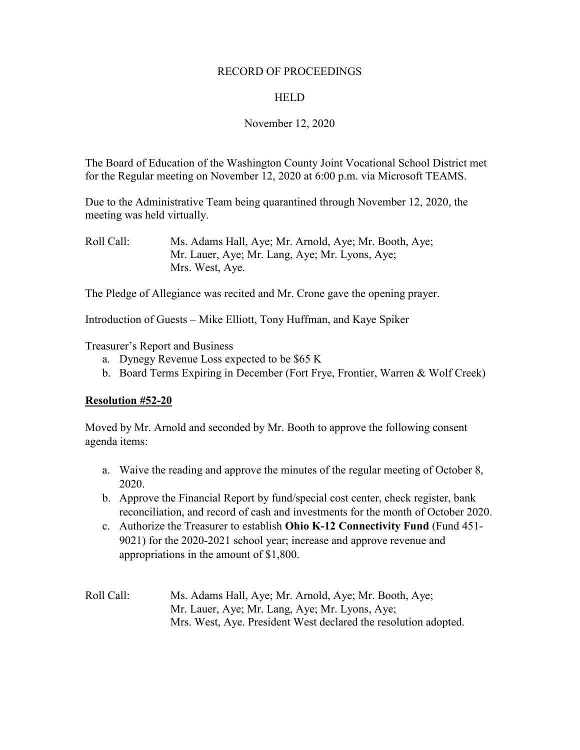#### RECORD OF PROCEEDINGS

### **HELD**

### November 12, 2020

The Board of Education of the Washington County Joint Vocational School District met for the Regular meeting on November 12, 2020 at 6:00 p.m. via Microsoft TEAMS.

Due to the Administrative Team being quarantined through November 12, 2020, the meeting was held virtually.

The Pledge of Allegiance was recited and Mr. Crone gave the opening prayer.

Introduction of Guests – Mike Elliott, Tony Huffman, and Kaye Spiker

Treasurer's Report and Business

- a. Dynegy Revenue Loss expected to be \$65 K
- b. Board Terms Expiring in December (Fort Frye, Frontier, Warren & Wolf Creek)

### **Resolution #52-20**

Moved by Mr. Arnold and seconded by Mr. Booth to approve the following consent agenda items:

- a. Waive the reading and approve the minutes of the regular meeting of October 8, 2020.
- b. Approve the Financial Report by fund/special cost center, check register, bank reconciliation, and record of cash and investments for the month of October 2020.
- c. Authorize the Treasurer to establish **Ohio K-12 Connectivity Fund** (Fund 451- 9021) for the 2020-2021 school year; increase and approve revenue and appropriations in the amount of \$1,800.
- Roll Call: Ms. Adams Hall, Aye; Mr. Arnold, Aye; Mr. Booth, Aye; Mr. Lauer, Aye; Mr. Lang, Aye; Mr. Lyons, Aye; Mrs. West, Aye. President West declared the resolution adopted.

Roll Call: Ms. Adams Hall, Aye; Mr. Arnold, Aye; Mr. Booth, Aye; Mr. Lauer, Aye; Mr. Lang, Aye; Mr. Lyons, Aye; Mrs. West, Aye.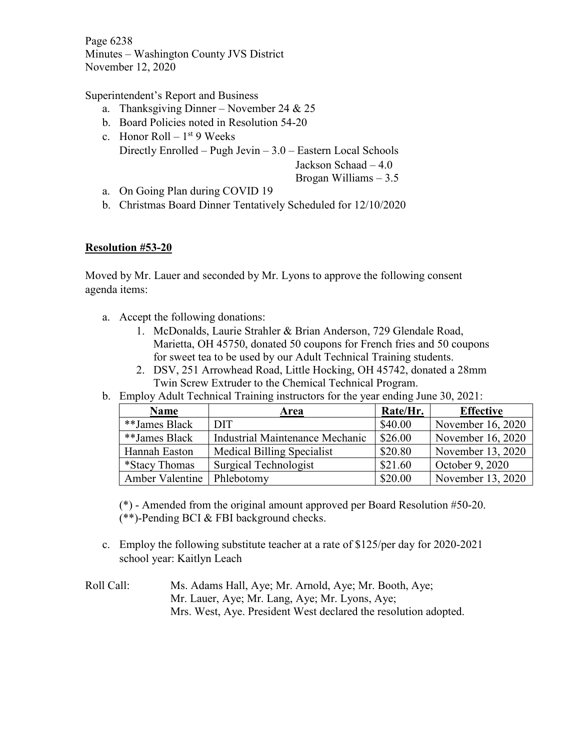Page 6238 Minutes – Washington County JVS District November 12, 2020

Superintendent's Report and Business

- a. Thanksgiving Dinner November 24 & 25
- b. Board Policies noted in Resolution 54-20
- c. Honor Roll  $1<sup>st</sup>$  9 Weeks Directly Enrolled – Pugh Jevin – 3.0 – Eastern Local Schools Jackson Schaad – 4.0

Brogan Williams – 3.5

- a. On Going Plan during COVID 19
- b. Christmas Board Dinner Tentatively Scheduled for 12/10/2020

## **Resolution #53-20**

Moved by Mr. Lauer and seconded by Mr. Lyons to approve the following consent agenda items:

- a. Accept the following donations:
	- 1. McDonalds, Laurie Strahler & Brian Anderson, 729 Glendale Road, Marietta, OH 45750, donated 50 coupons for French fries and 50 coupons for sweet tea to be used by our Adult Technical Training students.
	- 2. DSV, 251 Arrowhead Road, Little Hocking, OH 45742, donated a 28mm Twin Screw Extruder to the Chemical Technical Program.
- b. Employ Adult Technical Training instructors for the year ending June 30, 2021:

| <b>Name</b>     | Area                              | Rate/Hr. | <b>Effective</b>  |
|-----------------|-----------------------------------|----------|-------------------|
| **James Black   | <b>DIT</b>                        | \$40.00  | November 16, 2020 |
| **James Black   | Industrial Maintenance Mechanic   | \$26.00  | November 16, 2020 |
| Hannah Easton   | <b>Medical Billing Specialist</b> | \$20.80  | November 13, 2020 |
| *Stacy Thomas   | <b>Surgical Technologist</b>      | \$21.60  | October 9, 2020   |
| Amber Valentine | Phlebotomy                        | \$20.00  | November 13, 2020 |

(\*) - Amended from the original amount approved per Board Resolution #50-20. (\*\*)-Pending BCI & FBI background checks.

- c. Employ the following substitute teacher at a rate of \$125/per day for 2020-2021 school year: Kaitlyn Leach
- Roll Call: Ms. Adams Hall, Aye; Mr. Arnold, Aye; Mr. Booth, Aye; Mr. Lauer, Aye; Mr. Lang, Aye; Mr. Lyons, Aye; Mrs. West, Aye. President West declared the resolution adopted.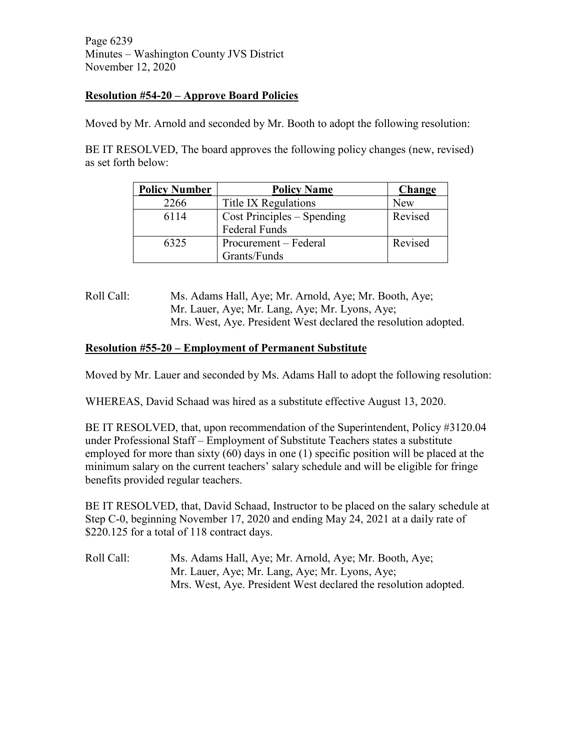Page 6239 Minutes – Washington County JVS District November 12, 2020

## **Resolution #54-20 – Approve Board Policies**

Moved by Mr. Arnold and seconded by Mr. Booth to adopt the following resolution:

BE IT RESOLVED, The board approves the following policy changes (new, revised) as set forth below:

| <b>Policy Number</b> | <b>Policy Name</b>           | Change  |
|----------------------|------------------------------|---------|
| 2266                 | Title IX Regulations         | New     |
| 6114                 | $Cost Principles - Spending$ | Revised |
|                      | <b>Federal Funds</b>         |         |
| 6325                 | Procurement – Federal        | Revised |
|                      | Grants/Funds                 |         |

## Roll Call: Ms. Adams Hall, Aye; Mr. Arnold, Aye; Mr. Booth, Aye; Mr. Lauer, Aye; Mr. Lang, Aye; Mr. Lyons, Aye; Mrs. West, Aye. President West declared the resolution adopted.

## **Resolution #55-20 – Employment of Permanent Substitute**

Moved by Mr. Lauer and seconded by Ms. Adams Hall to adopt the following resolution:

WHEREAS, David Schaad was hired as a substitute effective August 13, 2020.

BE IT RESOLVED, that, upon recommendation of the Superintendent, Policy #3120.04 under Professional Staff – Employment of Substitute Teachers states a substitute employed for more than sixty (60) days in one (1) specific position will be placed at the minimum salary on the current teachers' salary schedule and will be eligible for fringe benefits provided regular teachers.

BE IT RESOLVED, that, David Schaad, Instructor to be placed on the salary schedule at Step C-0, beginning November 17, 2020 and ending May 24, 2021 at a daily rate of \$220.125 for a total of 118 contract days.

Roll Call: Ms. Adams Hall, Aye; Mr. Arnold, Aye; Mr. Booth, Aye; Mr. Lauer, Aye; Mr. Lang, Aye; Mr. Lyons, Aye; Mrs. West, Aye. President West declared the resolution adopted.